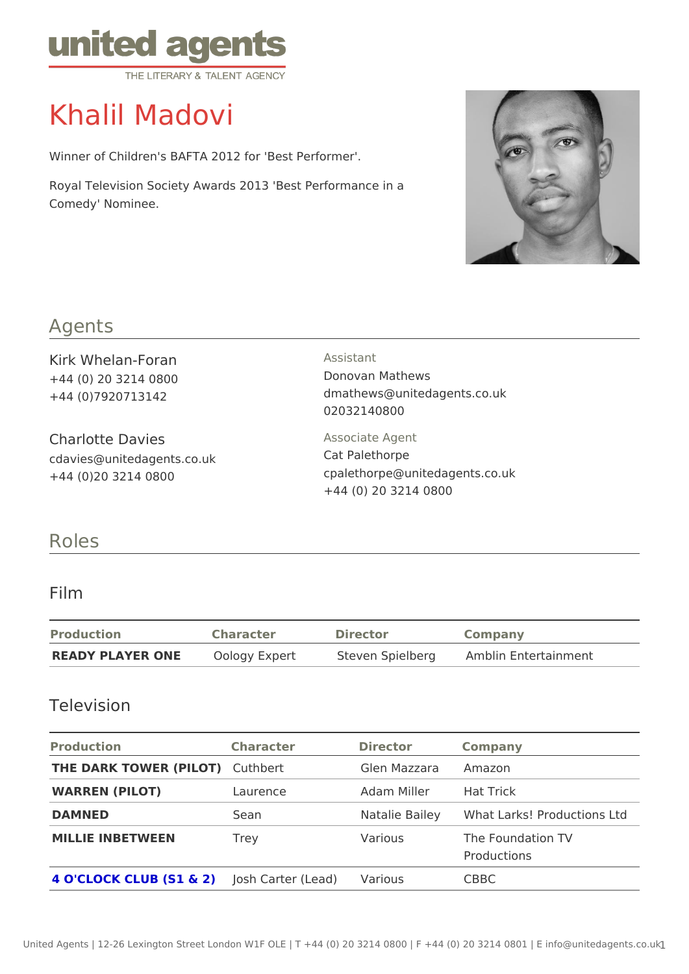# Khalil Madovi

Winner of Children's BAFTA 2012 for 'Best Performer'.

Royal Television Society Awards 2013 'Best Performance in a Comedy' Nominee.

#### Agents

Kirk Whelan-Foran +44 (0) 20 3214 0800 +44 (0)7920713142

Charlotte Davies cdavies@unitedagents.co.uk +44 (0)20 3214 0800

Assistant Donovan Mathews dmathews@unitedagents.co.uk 02032140800

Associate Agent Cat Palethorpe cpalethorpe@unitedagents.co.uk +44 (0) 20 3214 0800

#### Roles

Film

| Production | Character                                                           | Director | Company |  |
|------------|---------------------------------------------------------------------|----------|---------|--|
|            | READY PLAYER ONE Ology Expert Steven Spielber & mblin Entertainment |          |         |  |

### Television

| Production                                      | Character | Director              | Company                                 |
|-------------------------------------------------|-----------|-----------------------|-----------------------------------------|
| THE DARK TOWER (PICOTh)bert                     |           | Glen MazzaraAmazon    |                                         |
| WARREN (PILOT)                                  | Laurence  | Adam Miller Hat Trick |                                         |
| DAMNED                                          | Sean      |                       | Natalie BaileWhat Larks! Productions Lt |
| MILLIE INBETWEEN                                | Trev      | Various               | The Foundation TV<br>Productions        |
| 4 O'CLOCK CLUB (S1 & o & h Carter (Le ad ) jous |           |                       | CBBC                                    |